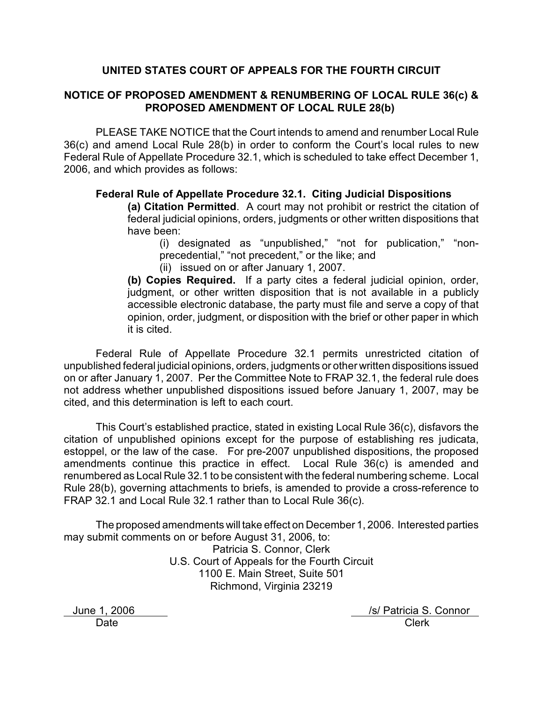# **UNITED STATES COURT OF APPEALS FOR THE FOURTH CIRCUIT**

# **NOTICE OF PROPOSED AMENDMENT & RENUMBERING OF LOCAL RULE 36(c) & PROPOSED AMENDMENT OF LOCAL RULE 28(b)**

PLEASE TAKE NOTICE that the Court intends to amend and renumber Local Rule 36(c) and amend Local Rule 28(b) in order to conform the Court's local rules to new Federal Rule of Appellate Procedure 32.1, which is scheduled to take effect December 1, 2006, and which provides as follows:

## **Federal Rule of Appellate Procedure 32.1. Citing Judicial Dispositions**

**(a) Citation Permitted**. A court may not prohibit or restrict the citation of federal judicial opinions, orders, judgments or other written dispositions that have been:

(i) designated as "unpublished," "not for publication," "nonprecedential," "not precedent," or the like; and

(ii) issued on or after January 1, 2007.

**(b) Copies Required.** If a party cites a federal judicial opinion, order, judgment, or other written disposition that is not available in a publicly accessible electronic database, the party must file and serve a copy of that opinion, order, judgment, or disposition with the brief or other paper in which it is cited.

Federal Rule of Appellate Procedure 32.1 permits unrestricted citation of unpublished federal judicial opinions, orders, judgments or other written dispositions issued on or after January 1, 2007. Per the Committee Note to FRAP 32.1, the federal rule does not address whether unpublished dispositions issued before January 1, 2007, may be cited, and this determination is left to each court.

This Court's established practice, stated in existing Local Rule 36(c), disfavors the citation of unpublished opinions except for the purpose of establishing res judicata, estoppel, or the law of the case. For pre-2007 unpublished dispositions, the proposed amendments continue this practice in effect. Local Rule 36(c) is amended and renumbered as Local Rule 32.1 to be consistent with the federal numbering scheme. Local Rule 28(b), governing attachments to briefs, is amended to provide a cross-reference to FRAP 32.1 and Local Rule 32.1 rather than to Local Rule 36(c).

The proposed amendments will take effect on December 1, 2006. Interested parties may submit comments on or before August 31, 2006, to:

Patricia S. Connor, Clerk U.S. Court of Appeals for the Fourth Circuit 1100 E. Main Street, Suite 501 Richmond, Virginia 23219

June 1, 2006 *June 1, 2006 June 1, 2006* Date **Clerk**